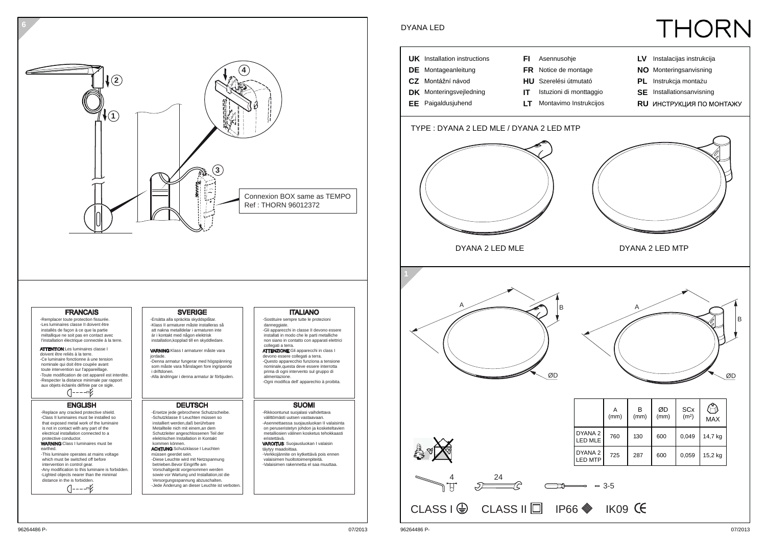

**6**